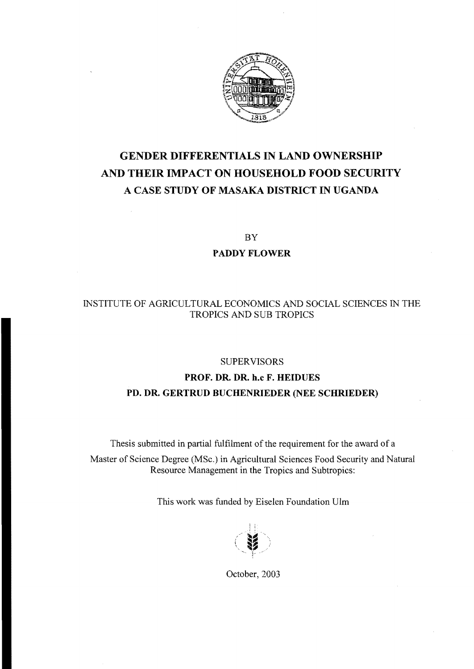

# **GENDER DIFFERENTIALS IN LAND OWNERSHIP AND THEIR IMPACT ON HOUSEHOLD FOOD SECURITY A CASE STUDY OF MASAKA DISTRICT IN UGANDA**

BY

#### **PADDY FLOWER**

### INSTITUTE OF AGRlCULTURAL ECONOMICS AND SOCIAL SCIENCES IN THE TROPICS AND SUB TROPICS

#### SUPERVISORS

## **PROF. DR. DR. h.c F. HEIDUES PD. DR. GERTRUD BUCHENRlEDER (NEE SCHRIEDER)**

Thesis submitted in partial fulfilment of the requirement for the award of a Master of Science Degree (MSc.) in Agricultural Sciences Food Security and Natural Resource Management in the Tropics and Subtropics:

This work was funded by Eiselen Foundation Ulm



Oetober, 2003